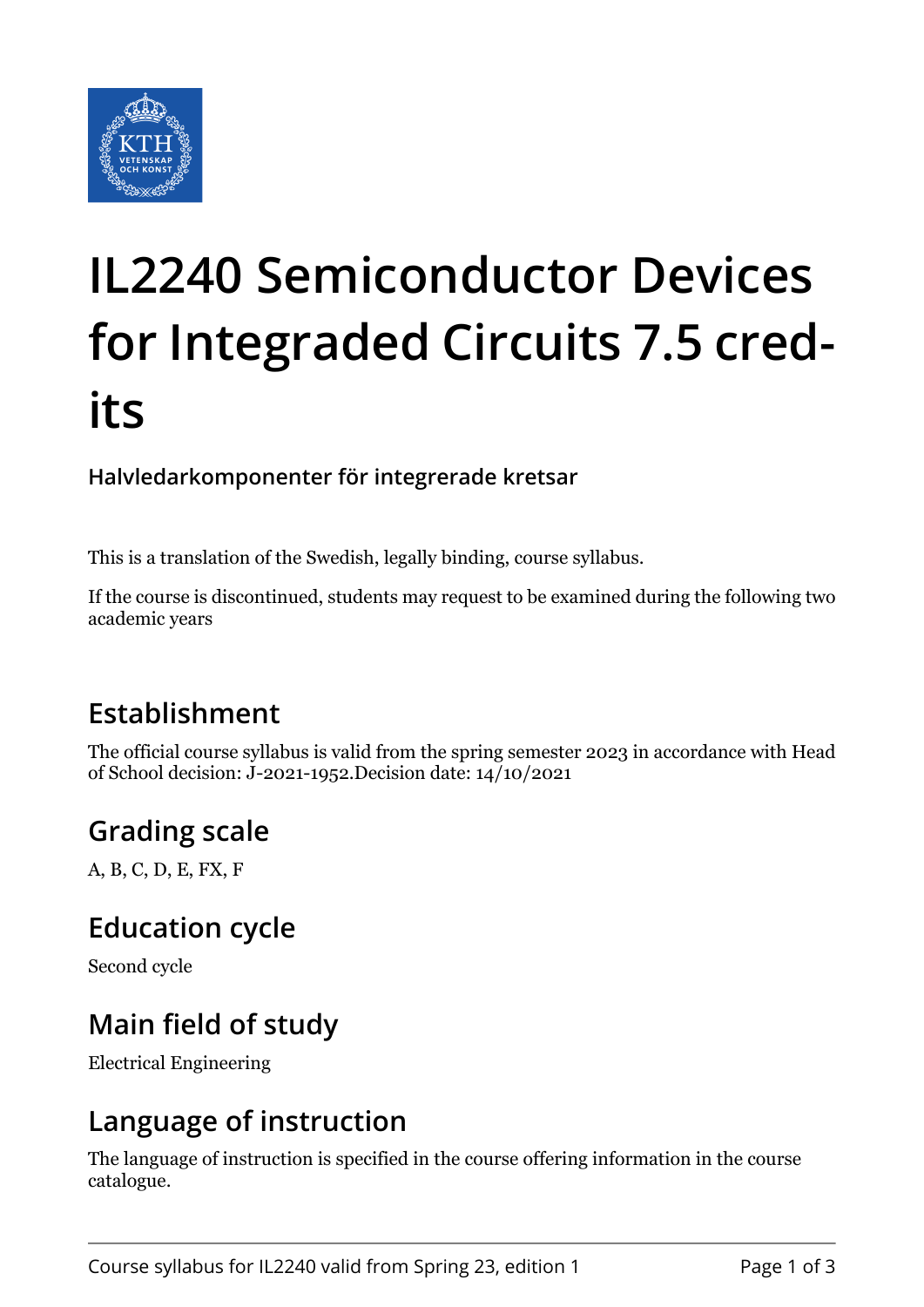

# **IL2240 Semiconductor Devices for Integraded Circuits 7.5 credits**

#### **Halvledarkomponenter för integrerade kretsar**

This is a translation of the Swedish, legally binding, course syllabus.

If the course is discontinued, students may request to be examined during the following two academic years

## **Establishment**

The official course syllabus is valid from the spring semester 2023 in accordance with Head of School decision: J-2021-1952.Decision date: 14/10/2021

## **Grading scale**

A, B, C, D, E, FX, F

#### **Education cycle**

Second cycle

## **Main field of study**

Electrical Engineering

## **Language of instruction**

The language of instruction is specified in the course offering information in the course catalogue.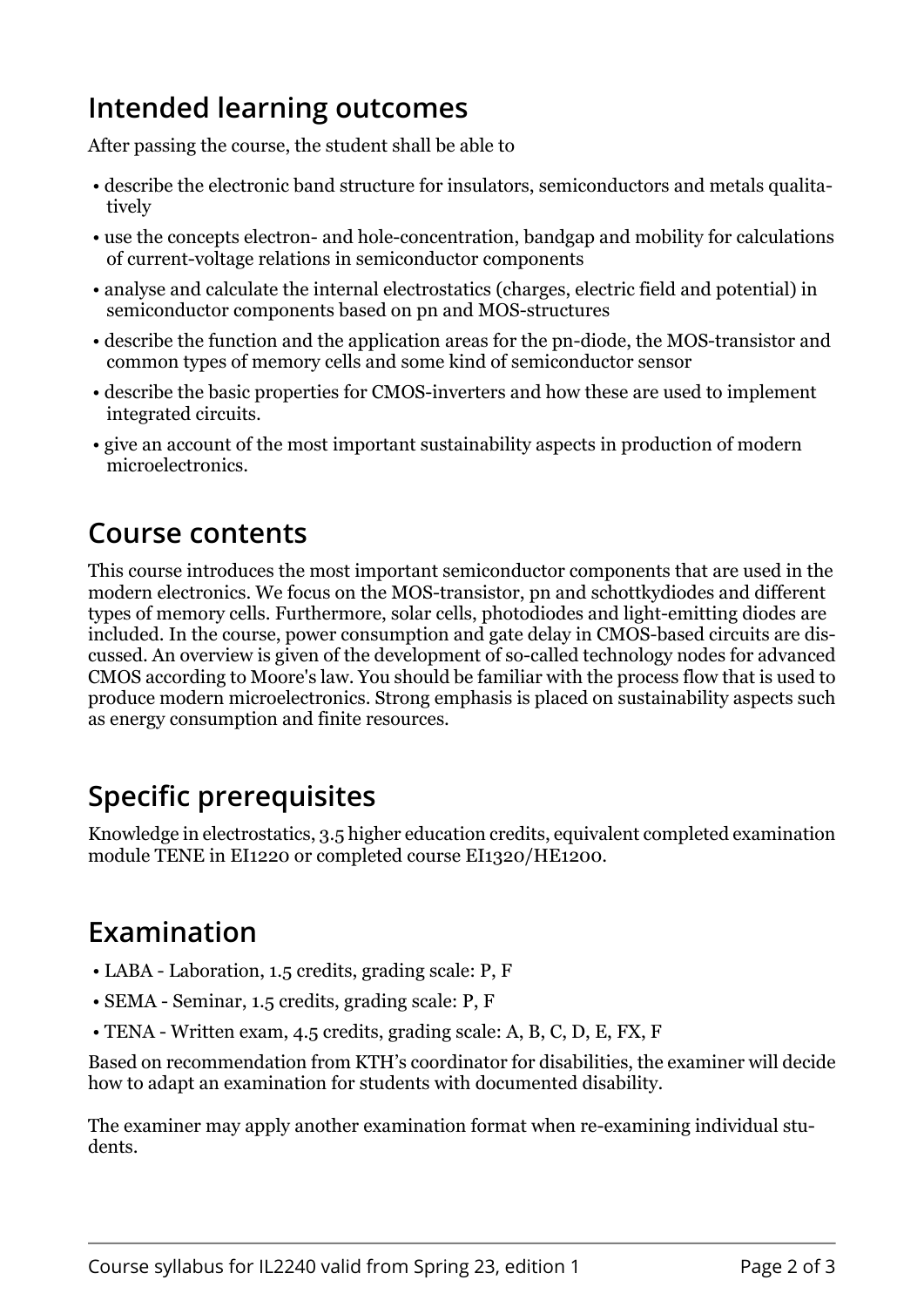## **Intended learning outcomes**

After passing the course, the student shall be able to

- describe the electronic band structure for insulators, semiconductors and metals qualitatively
- use the concepts electron- and hole-concentration, bandgap and mobility for calculations of current-voltage relations in semiconductor components
- analyse and calculate the internal electrostatics (charges, electric field and potential) in semiconductor components based on pn and MOS-structures
- describe the function and the application areas for the pn-diode, the MOS-transistor and common types of memory cells and some kind of semiconductor sensor
- describe the basic properties for CMOS-inverters and how these are used to implement integrated circuits.
- give an account of the most important sustainability aspects in production of modern microelectronics.

#### **Course contents**

This course introduces the most important semiconductor components that are used in the modern electronics. We focus on the MOS-transistor, pn and schottkydiodes and different types of memory cells. Furthermore, solar cells, photodiodes and light-emitting diodes are included. In the course, power consumption and gate delay in CMOS-based circuits are discussed. An overview is given of the development of so-called technology nodes for advanced CMOS according to Moore's law. You should be familiar with the process flow that is used to produce modern microelectronics. Strong emphasis is placed on sustainability aspects such as energy consumption and finite resources.

# **Specific prerequisites**

Knowledge in electrostatics, 3.5 higher education credits, equivalent completed examination module TENE in EI1220 or completed course EI1320/HE1200.

#### **Examination**

- LABA Laboration, 1.5 credits, grading scale: P, F
- SEMA Seminar, 1.5 credits, grading scale: P, F
- TENA Written exam, 4.5 credits, grading scale: A, B, C, D, E, FX, F

Based on recommendation from KTH's coordinator for disabilities, the examiner will decide how to adapt an examination for students with documented disability.

The examiner may apply another examination format when re-examining individual students.